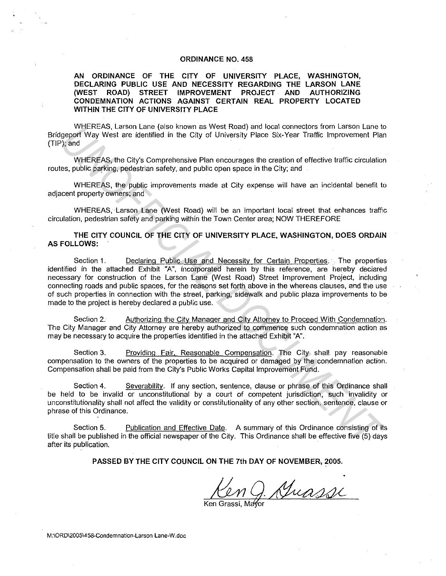### **ORDINANCE NO. 458**

**AN ORDINANCE OF THE CITY OF UNIVERSITY PLACE, WASHINGTON, DECLARING PUBLIC USE AND NECESSITY REGARDING THE LARSON LANE**  (WEST ROAD) STREET IMPROVEMENT PROJECT AND **CONDEMNATION ACTIONS AGAINST CERTAIN REAL PROPERTY LOCATED WITHIN THE CITY OF UNIVERSITY PLACE** 

WHEREAS. Larson Lane (also known as West Road) and local connectors from Larson Lane to Bridgeport Way West are identified in the City of University Place Six-Year Traffic Improvement Plan (TIP); and

WHEREAS, the City"s Comprehensive Plan encourages the creation of effective traffic circulation routes, public parking, pedestrian safety, and public open space in the City; and

WHEREAS, the public improvements made at City expense will have an incidental benefit to adjacent property owners; and

WHEREAS. Larson Lane (West Road) will be an important local street that enhances traffic circulation. pedestrian safety and parking within the Town Center area; NOW THEREFORE

**THE CITY COUNCIL OF THE CITY OF UNIVERSITY PLACE, WASHINGTON, DOES ORDAIN AS FOLLOWS:** 

Section 1. Declaring Public Use and Necessity for Certain Properties. The properties identified in the attached Exhibit "A", incorporated herein by this reference, are hereby deciared necessary for construction of the Larson Lane (West Road) Street Improvement Project, including connecting roads and public spaces, for the reasons set forth above in the whereas clauses, and the use of such properties in connection with the street, parking, sidewalk and public plaza improvements to be made to the project is hereby declared a public use. WHEREAS, the Girls (sign of the Girls of two in the Girls of the City of University Place Six-Year Traffic Improvement Plate<br>
Where the City of University Place Six-Year Traffic Improvement Plate<br>
WHEREAS, the City's Compr

Section 2. Authorizing the City. Manager and City Attorney to Proceed With Condemnation. The City Manager and City Attorney are hereby authorized to commence such condemnation action as may be necessary to acquire the properties identified in the attached Exhibit "A".

Section 3. Providing Fair, Reasonable Compensation. The City shall pay reasonable compensation to the owners of the properties to be acquired or damaged by the condemnation action. Compensation shall be paid from the City's Public Works Capital Improvement Fund.

Section 4. Severability. If any section. sentence, clause or phrase of this Ordinance shall be held to be invalid or unconstitutional by a court of competent jurisdiction, such invalidity or unconstitutionality shall not affect the validity or constitutionality of any other section. sentence, clause or phrase of this Ordinance.

Section 5. Publication and Effective Date. A summary of this Ordinance consisting of its title shall be published in the official newspaper of the City. This Ordinance shall be effective five (5) days after its publication.

**PASSED BY THE CITY COUNCIL ON THE 7th DAY OF NOVEMBER; 2005.** 

n J. Guassi

**M:\ORD\2005\4-58-Condemnation-Larson Lane-W.doc**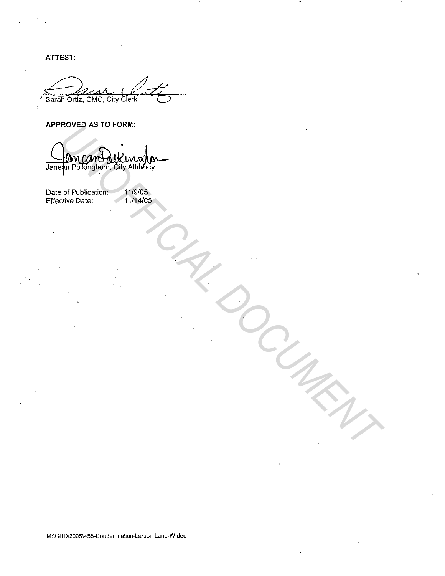ATTEST:

Sarah Ortiz, CMC, City Clerk

# APPROVED AS TO FORM:

HOVED AS TO FUND.<br>
1979 PORTLED HE AND CREATED TO USE OF THE CREATED OF CREATED TO USE OF THE CREATED TO USE OF THE CREATED OF THE CREATED OF THE CASE OF THE CASE OF THE CASE OF THE CASE OF THE CASE OF THE CASE OF THE CASE

Date of Publication: Effective Date: 11/9/05 11/14/05

M;\OR0\2005\458-Condemnation-Larson Lane-W .doc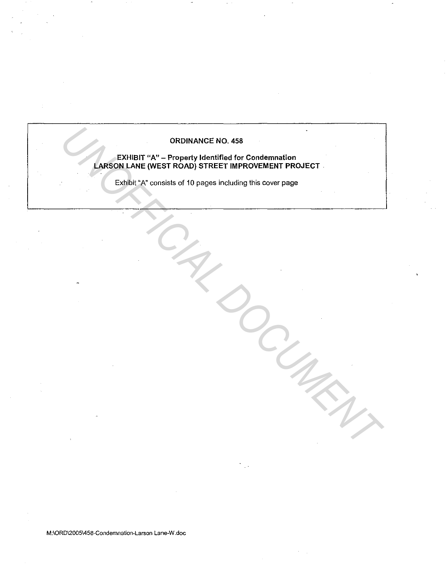# ORDINANCE NO. 458

# EXHIBIT "A" - Property Identified for Condemnation LARSON LANE (WEST ROAD) STREET IMPROVEMENT PROJECT ORDINANCE NO.458<br> **LARSON LANE (WEST ROAD) STREET IMPROVEMENT PROJECT**<br>
EXIDENT <sup>2</sup> consists of 10 pages including this cover page<br> **EXIDENT**<br>
EXIDENT CONSIST AND STREET IMPROVEMENT PROJECT<br>
AND THE STREET IMPROVEMENT PROJ

Exhibit "A" consists of 10 pages including this cover page

**M:\ORD\2005\458-Condemnation-Larson Lane-W .doc**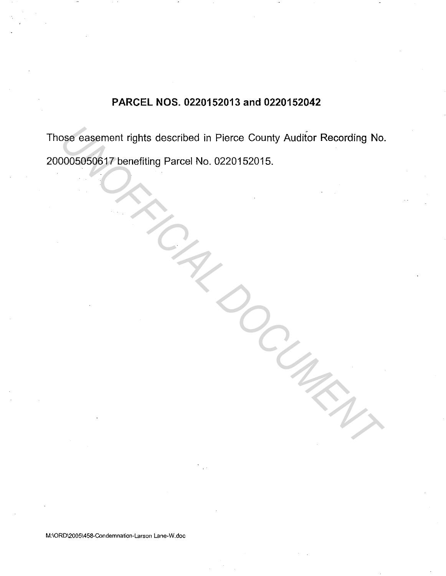# **PARCEL NOS. 0220152013 and 0220152042**

Those easement rights described in Pierce County Auditor Recording No. 200005050617 benefiting Parcel No. 0220152015. From the described in Pierce County Auditor Recording No.<br>
0005050617 benefiting Parcel No. 0220152015.<br>
1. The described on the described in Pierce County Auditor Recording No.<br>
1. The described in Pierce County Auditor R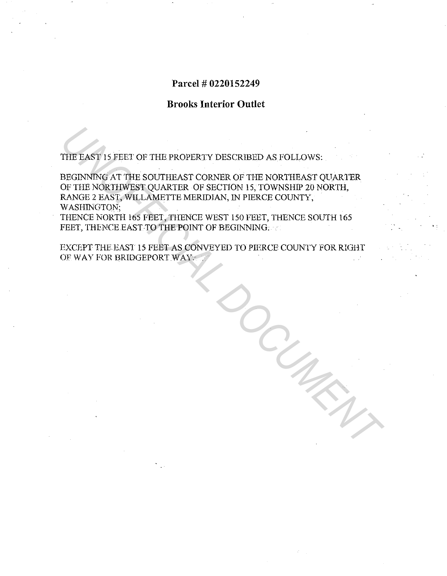# **Parcel# 0220152249**

# **Brooks Interior Outlet**

THE EAST 15 FEET OF THE PROPERTY DESCRIBED AS FOLLOWS:

BEGINNING AT THE SOUTHEAST CORNER OF THE NORTHEAST QUARTER OF THE NORTHWEST QUARTER OF SECTION 15, TOWNSHIP 20 NORTH, RANGE 2 EAST, WILLAMETTE MERIDIAN, IN PIERCE COUNTY, WASHINGTON; THE EASY IS FEET OF THE PROPERTY DESCRIBED AS FOLLOWS:<br>
BEGINNING AT THE SOUTHEAST CORNER OF THE NORTHEAST QUARTER<br>
OF THE NORTHWEST QUARTER OF SECTION 15, TOWNSHIP 20 NORTH,<br>
MASHINGTON;<br>
WASHINGTON;<br>
WASHINGTON;<br>
THENCE

THENCE NORTH 165 FEET, THENCE WEST 150 FEET, THENCE SOUTH 165 FEET, THENCE EAST TO THE POINT OF BEGINNING.

EXCEPT THE EAST 15 FEET AS CONVEYED TO PIERCE COUNTY FOR RIGHT OF WAY FOR BRIDGEPORT WAY.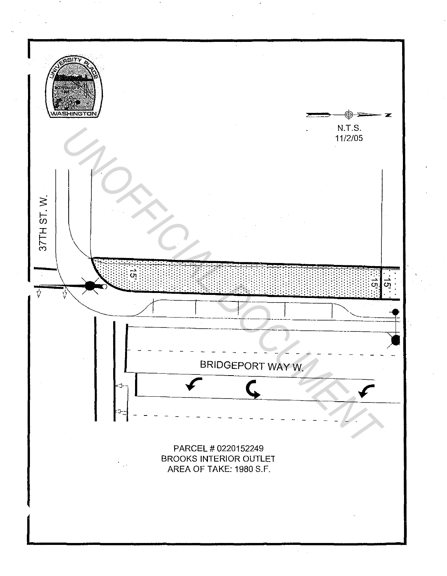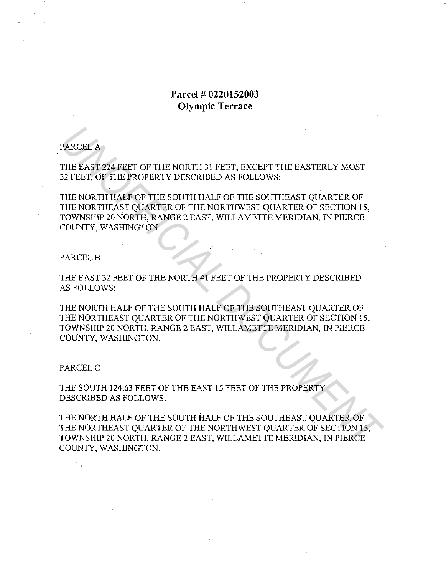# **Parcel # 0220152003 Olympic Terrace**

## PARCEL A

THE EAST 224 FEET OF THE NORTH 31 FEET, EXCEPT THE EASTERLY MOST 32 FEET, OF THE PROPERTY DESCRIBED AS FOLLOWS:

THE NORTH HALF OF THE SOUTH HALF OF THE SOUTHEAST QUARTER OF THE NORTHEAST QUARTER OF THE NORTHWEST QUARTER OF SECTION 15, TOWNSHIP 20 NORTH, RANGE 2 EAST, WILLAMETTE MERIDIAN, IN PIERCE COUNTY, WASHINGTON. PARCEL A<br>THE EAST 224 FEET OF THE NORTH 31 FEET, EXCEPT THE EASTERLY MOST<br>23 FEET, OF THE PROPERTY DESCRIBED AS FOLLOWS:<br>THE NORTH FALT OF THE SOUTH HALF OF THE SOUTHEAST QUARTER OF<br>THE NORTHEAST QUARTER OF THE NORTHWEST Q

### PARCEL<sub>B</sub>

THE EAST 32 FEET OF THE NORTH 41 FEET OF THE PROPERTY DESCRIBED AS FOLLOWS:

THE NORTH HALF OF THE SOUTH HALF OF THE SOUTHEAST QUARTER OF THE NORTHEAST QUARTER OF THE NORTHWEST QUARTER OF SECTION 15, TOWNSHIP 20 NORTH, RANGE 2 EAST, WILLAMETTE MERIDIAN, IN PIERCE. COUNTY, WASHINGTON.

### PARCEL<sub>C</sub>

THE SOUTH 124.63 FEET OF THE EAST 15 FEET OF THE PROPERTY DESCRIBED AS FOLLOWS:

THE NORTH HALF OF THE SOUTH HALF OF THE SOUTHEAST QUARTER OF THE NORTHEAST QUARTER OF THE NORTHWEST QUARTER OF SECTION 15, TOWNSHIP 20 NORTH, RANGE 2 EAST, WILLAMETTE MERIDIAN, IN PIERCE COUNTY, WASHINGTON.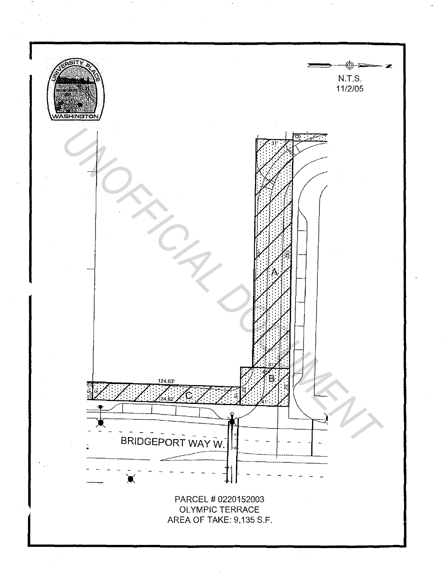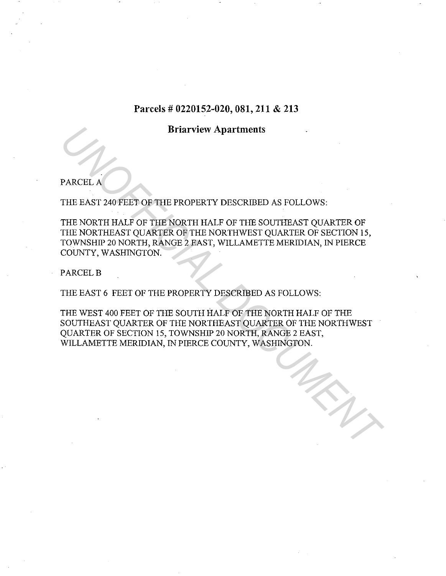# **Parcels# 0220152-020, 081, 211 & 213**

# **Briarview Apartments**

PARCEL A

THE EAST 240 FEET OF THE PROPERTY DESCRIBED AS FOLLOWS:

THE NORTH HALF OF THE NORTH HALF OF THE SOUTHEAST QUARTER OF THE NORTHEAST QUARTER OF THE NORTHWEST QUARTER OF SECTION 15, TOWNSHIP 20 NORTH, RANGE 2 EAST, WILLAMETTE MERIDIAN, IN PIERCE COUNTY, WASHINGTON.

PARCEL B

THE EAST 6 FEET OF THE PROPERTY DESCRIBED AS FOLLOWS:

THE WEST 400 FEET OF THE SOUTH HALF OF THE NORTH HALF OF THE SOUTHEAST QUARTER OF THE NORTHEAST QUARTER OF THE NORTHWEST QUARTER OF SECTION 15, TOWNSHIP 20 NORTH, RANGE 2 EAST, WILLAMETTE MERIDIAN, IN PIERCE COUNTY, WASHINGTON. **BRICH AND THE PROPERTY DESCRIBED AS FOLLOWS:**<br>THE RAST 240 FEET OF THE ROPERTY DESCRIBED AS FOLLOWS:<br>THE NORTH HALF OF THE NORTH HALF OF THE SOUTHEAST QUARTER OF<br>TOWNSHIP 20 NORTH RANGE 2 FAST, WILLAMETTE MERDIAN, IN PIER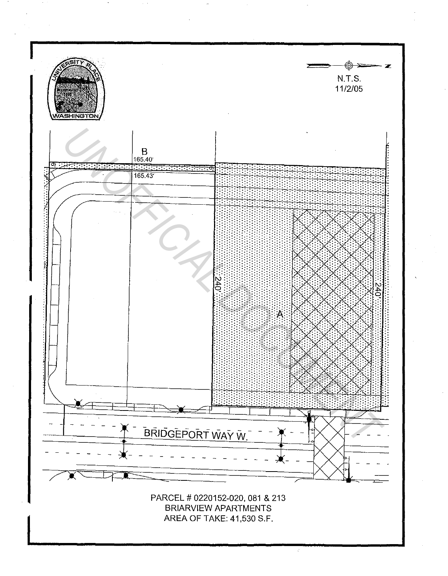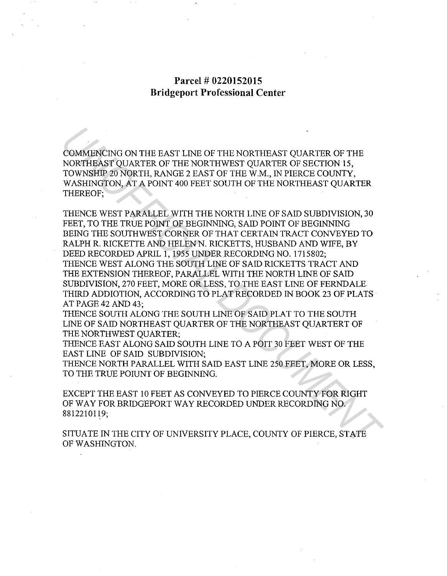# **Parcel # 0220152015 Bridgeport Professional Center**

COMMENCING ON THE EAST LINE OF THE NORTHEAST QUARTER OF THE NORTHEAST QUARTER OF THE NORTHWEST QUARTER OF SECTION 15, TOWNSHIP 20 NORTH, RANGE 2 EAST OF THE W.M., IN PIERCE COUNTY, WASHINGTON, AT A POINT 400 FEET SOUTH OF THE NORTHEAST QUARTER THEREOF;

THENCE WEST PARALLEL WITH THE NORTH LINE OF SAID SUBDIVISION, 30 FEET, TO THE TRUE POINT OF BEGINNING, SAID POINT OF BEGINNING BEING THE SOUTHWEST CORNER OF THAT CERTAIN TRACT CONVEYED TO RALPH R. RICKETTE AND HELEN N. RICKETTS, HUSBAND AND WIFE, BY DEED RECORDED APRIL 1, 1955 UNDER RECORDING NO. 1715802; THENCE WEST ALONG THE SOUTH LINE OF SAID RICKETTS TRACT AND THE EXTENSION THEREOF, PARALLEL WITH THE NORTH LINE OF SAID SUBDIVISION, 270 FEET, MORE OR LESS, TO THE EAST LINE OF FERNDALE THIRD ADDIOTION, ACCORDING TO PLAT RECORDED IN BOOK 23 OF PLATS AT PAGE 42 AND 43: COMMENCING ON THE EAST LINE OF THE NORTHEAST QUARTER OF THE NORTHEAST QUARTER OF THE NORTHEAST QUARTER OF THOMOTHY TO SASHINGTON, AT A POINT AND FELT SOLUTION THE WALK, IN PIERCE COUNTY, WASHINGTON, AT A POINT 400 FEET SOU

THENCE SOUTH ALONG THE SOUTH LINE OF SAID PLAT TO THE SOUTH LINE OF SAID NORTHEAST QUARTER OF THE NORTHEAST QUARTERT OF THE NORTHWEST QUARTER;

THENCE EAST ALONG SAID SOUTH LINE TO A POIT 30 FEET WEST OF THE EAST LINE OF SAID SUBDIVISION;

THENCE NORTH PARALLEL WITH SAID EAST LINE 250 FEET, MORE OR LESS, TO THE TRUE POIUNT OF BEGINNING.

EXCEPT THE EAST 10 FEET AS CONVEYED TO PIERCE COUNTY FOR RIGHT OF WAY FOR BRIDGEPORT WAY RECORDED UNDER RECORDING NO. 8812210119;

SITUATE IN THE CITY OF UNIVERSITY PLACE, COUNTY OF PIERCE, STATE OF WASHINGTON.